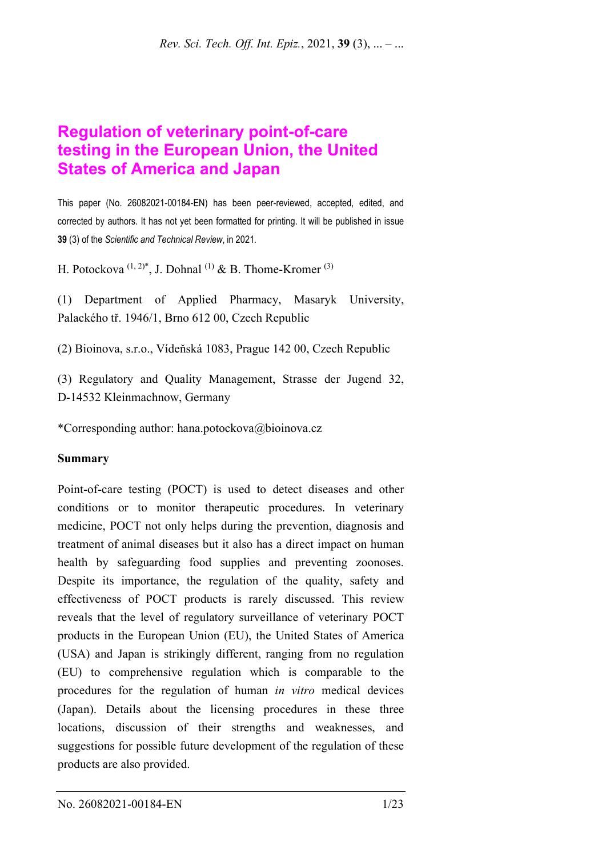# **Regulation of veterinary point-of-care testing in the European Union, the United States of America and Japan**

This paper (No. 26082021-00184-EN) has been peer-reviewed, accepted, edited, and corrected by authors. It has not yet been formatted for printing. It will be published in issue **39** (3) of the *Scientific and Technical Review*, in 2021*.*

H. Potockova  $(1, 2)^*$ , J. Dohnal  $(1)$  & B. Thome-Kromer  $(3)$ 

(1) Department of Applied Pharmacy, Masaryk University, Palackého tř. 1946/1, Brno 612 00, Czech Republic

(2) Bioinova, s.r.o., Vídeňská 1083, Prague 142 00, Czech Republic

(3) Regulatory and Quality Management, Strasse der Jugend 32, D-14532 Kleinmachnow, Germany

\*Corresponding author: hana.potockova@bioinova.cz

#### **Summary**

Point-of-care testing (POCT) is used to detect diseases and other conditions or to monitor therapeutic procedures. In veterinary medicine, POCT not only helps during the prevention, diagnosis and treatment of animal diseases but it also has a direct impact on human health by safeguarding food supplies and preventing zoonoses. Despite its importance, the regulation of the quality, safety and effectiveness of POCT products is rarely discussed. This review reveals that the level of regulatory surveillance of veterinary POCT products in the European Union (EU), the United States of America (USA) and Japan is strikingly different, ranging from no regulation (EU) to comprehensive regulation which is comparable to the procedures for the regulation of human *in vitro* medical devices (Japan). Details about the licensing procedures in these three locations, discussion of their strengths and weaknesses, and suggestions for possible future development of the regulation of these products are also provided.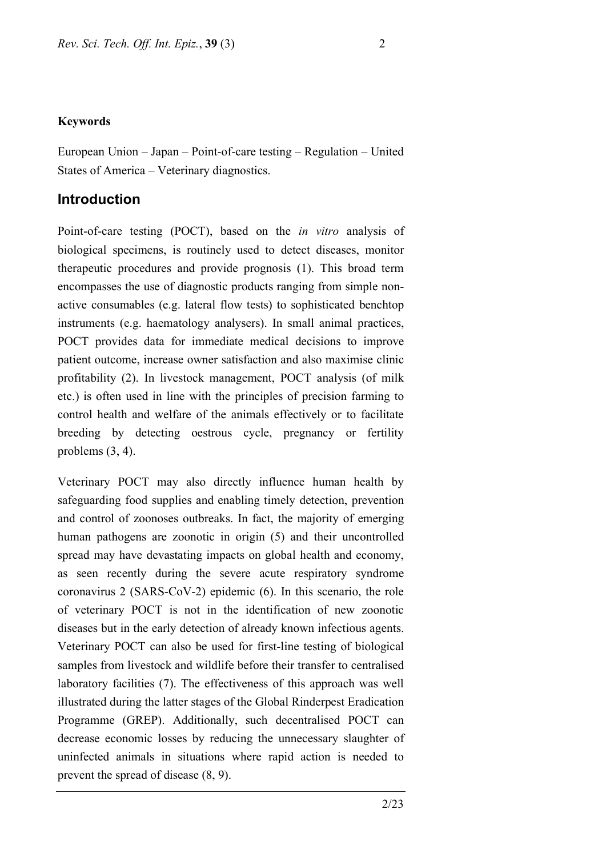#### **Keywords**

European Union – Japan – Point-of-care testing – Regulation – United States of America – Veterinary diagnostics.

#### **Introduction**

Point-of-care testing (POCT), based on the *in vitro* analysis of biological specimens, is routinely used to detect diseases, monitor therapeutic procedures and provide prognosis (1). This broad term encompasses the use of diagnostic products ranging from simple nonactive consumables (e.g. lateral flow tests) to sophisticated benchtop instruments (e.g. haematology analysers). In small animal practices, POCT provides data for immediate medical decisions to improve patient outcome, increase owner satisfaction and also maximise clinic profitability (2). In livestock management, POCT analysis (of milk etc.) is often used in line with the principles of precision farming to control health and welfare of the animals effectively or to facilitate breeding by detecting oestrous cycle, pregnancy or fertility problems (3, 4).

Veterinary POCT may also directly influence human health by safeguarding food supplies and enabling timely detection, prevention and control of zoonoses outbreaks. In fact, the majority of emerging human pathogens are zoonotic in origin (5) and their uncontrolled spread may have devastating impacts on global health and economy, as seen recently during the severe acute respiratory syndrome coronavirus 2 (SARS-CoV-2) epidemic (6). In this scenario, the role of veterinary POCT is not in the identification of new zoonotic diseases but in the early detection of already known infectious agents. Veterinary POCT can also be used for first-line testing of biological samples from livestock and wildlife before their transfer to centralised laboratory facilities (7). The effectiveness of this approach was well illustrated during the latter stages of the Global Rinderpest Eradication Programme (GREP). Additionally, such decentralised POCT can decrease economic losses by reducing the unnecessary slaughter of uninfected animals in situations where rapid action is needed to prevent the spread of disease (8, 9).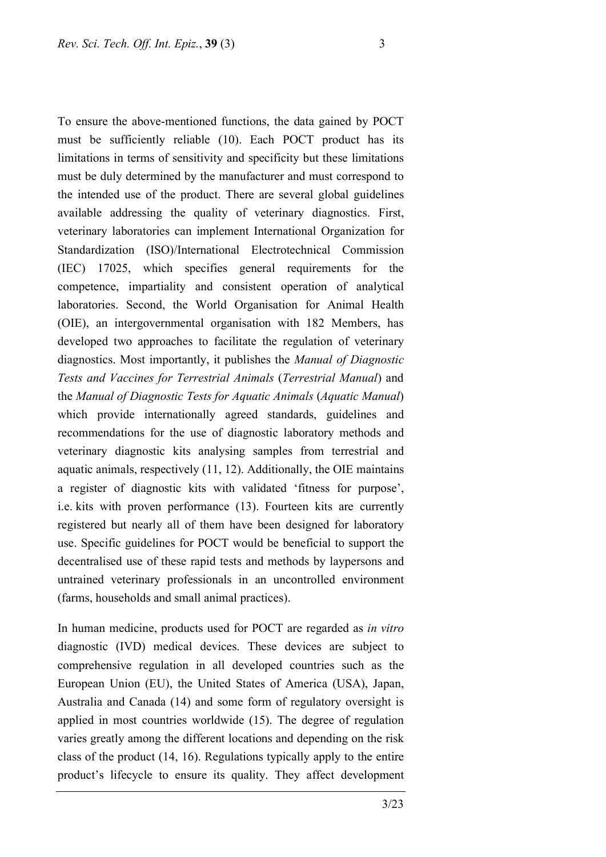To ensure the above-mentioned functions, the data gained by POCT must be sufficiently reliable (10). Each POCT product has its limitations in terms of sensitivity and specificity but these limitations must be duly determined by the manufacturer and must correspond to the intended use of the product. There are several global guidelines available addressing the quality of veterinary diagnostics. First, veterinary laboratories can implement International Organization for Standardization (ISO)/International Electrotechnical Commission (IEC) 17025, which specifies general requirements for the competence, impartiality and consistent operation of analytical laboratories. Second, the World Organisation for Animal Health (OIE), an intergovernmental organisation with 182 Members, has developed two approaches to facilitate the regulation of veterinary diagnostics. Most importantly, it publishes the *Manual of Diagnostic Tests and Vaccines for Terrestrial Animals* (*Terrestrial Manual*) and the *Manual of Diagnostic Tests for Aquatic Animals* (*Aquatic Manual*) which provide internationally agreed standards, guidelines and recommendations for the use of diagnostic laboratory methods and veterinary diagnostic kits analysing samples from terrestrial and aquatic animals, respectively (11, 12). Additionally, the OIE maintains a register of diagnostic kits with validated 'fitness for purpose', i.e. kits with proven performance (13). Fourteen kits are currently registered but nearly all of them have been designed for laboratory use. Specific guidelines for POCT would be beneficial to support the decentralised use of these rapid tests and methods by laypersons and untrained veterinary professionals in an uncontrolled environment (farms, households and small animal practices).

In human medicine, products used for POCT are regarded as *in vitro* diagnostic (IVD) medical devices. These devices are subject to comprehensive regulation in all developed countries such as the European Union (EU), the United States of America (USA), Japan, Australia and Canada (14) and some form of regulatory oversight is applied in most countries worldwide (15). The degree of regulation varies greatly among the different locations and depending on the risk class of the product (14, 16). Regulations typically apply to the entire product's lifecycle to ensure its quality. They affect development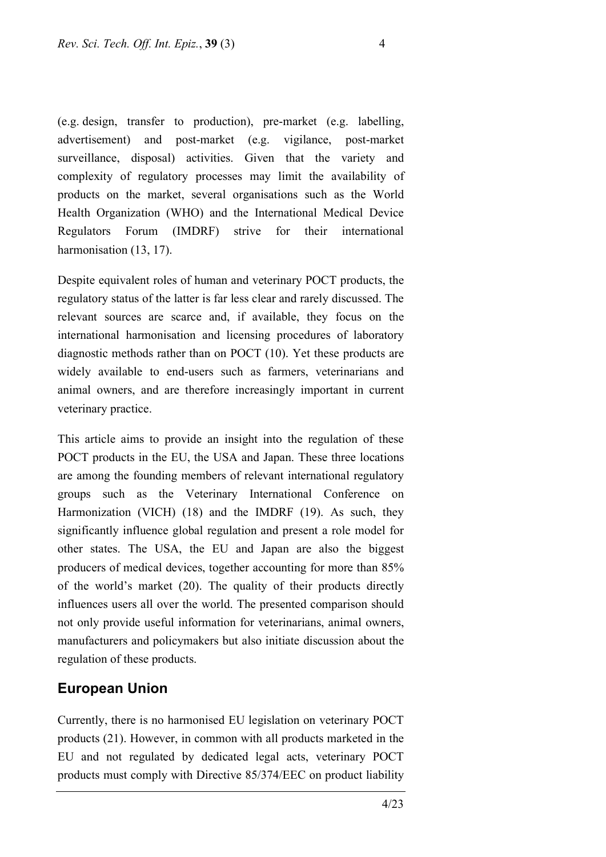(e.g. design, transfer to production), pre-market (e.g. labelling, advertisement) and post-market (e.g. vigilance, post-market surveillance, disposal) activities. Given that the variety and complexity of regulatory processes may limit the availability of products on the market, several organisations such as the World Health Organization (WHO) and the International Medical Device Regulators Forum (IMDRF) strive for their international harmonisation (13, 17).

Despite equivalent roles of human and veterinary POCT products, the regulatory status of the latter is far less clear and rarely discussed. The relevant sources are scarce and, if available, they focus on the international harmonisation and licensing procedures of laboratory diagnostic methods rather than on POCT (10). Yet these products are widely available to end-users such as farmers, veterinarians and animal owners, and are therefore increasingly important in current veterinary practice.

This article aims to provide an insight into the regulation of these POCT products in the EU, the USA and Japan. These three locations are among the founding members of relevant international regulatory groups such as the Veterinary International Conference on Harmonization (VICH) (18) and the IMDRF (19). As such, they significantly influence global regulation and present a role model for other states. The USA, the EU and Japan are also the biggest producers of medical devices, together accounting for more than 85% of the world's market (20). The quality of their products directly influences users all over the world. The presented comparison should not only provide useful information for veterinarians, animal owners, manufacturers and policymakers but also initiate discussion about the regulation of these products.

### **European Union**

Currently, there is no harmonised EU legislation on veterinary POCT products (21). However, in common with all products marketed in the EU and not regulated by dedicated legal acts, veterinary POCT products must comply with Directive 85/374/EEC on product liability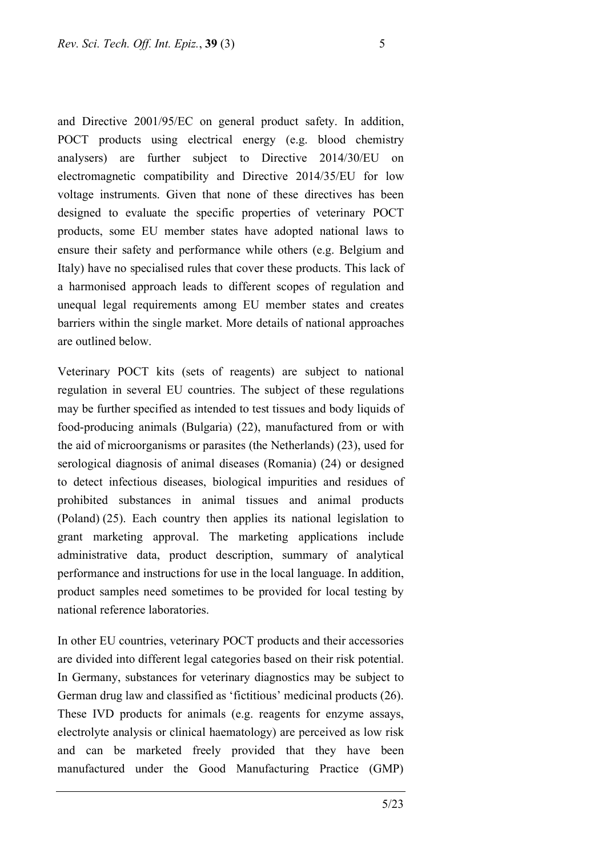and Directive 2001/95/EC on general product safety. In addition, POCT products using electrical energy (e.g. blood chemistry analysers) are further subject to Directive 2014/30/EU on electromagnetic compatibility and Directive 2014/35/EU for low voltage instruments. Given that none of these directives has been designed to evaluate the specific properties of veterinary POCT products, some EU member states have adopted national laws to ensure their safety and performance while others (e.g. Belgium and Italy) have no specialised rules that cover these products. This lack of a harmonised approach leads to different scopes of regulation and unequal legal requirements among EU member states and creates barriers within the single market. More details of national approaches are outlined below.

Veterinary POCT kits (sets of reagents) are subject to national regulation in several EU countries. The subject of these regulations may be further specified as intended to test tissues and body liquids of food-producing animals (Bulgaria) (22), manufactured from or with the aid of microorganisms or parasites (the Netherlands) (23), used for serological diagnosis of animal diseases (Romania) (24) or designed to detect infectious diseases, biological impurities and residues of prohibited substances in animal tissues and animal products (Poland) (25). Each country then applies its national legislation to grant marketing approval. The marketing applications include administrative data, product description, summary of analytical performance and instructions for use in the local language. In addition, product samples need sometimes to be provided for local testing by national reference laboratories.

In other EU countries, veterinary POCT products and their accessories are divided into different legal categories based on their risk potential. In Germany, substances for veterinary diagnostics may be subject to German drug law and classified as 'fictitious' medicinal products (26). These IVD products for animals (e.g. reagents for enzyme assays, electrolyte analysis or clinical haematology) are perceived as low risk and can be marketed freely provided that they have been manufactured under the Good Manufacturing Practice (GMP)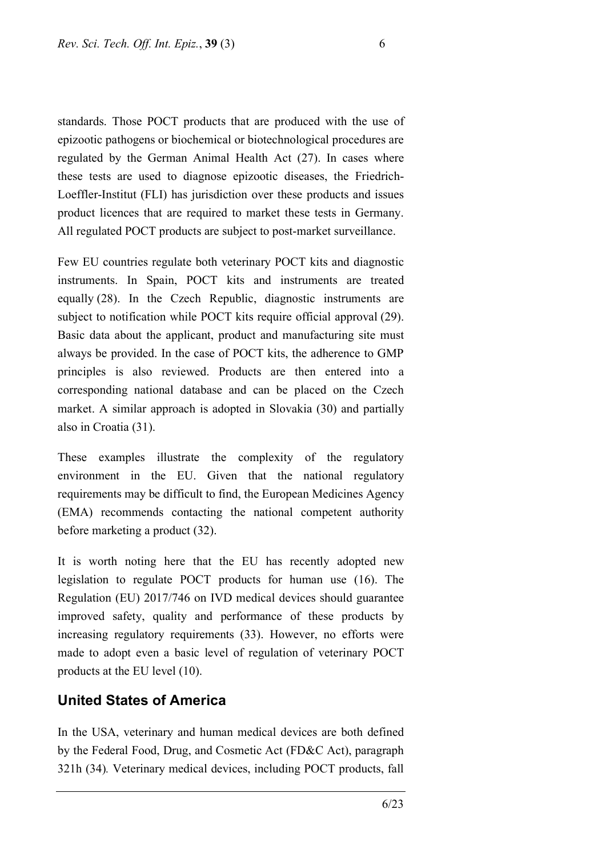standards. Those POCT products that are produced with the use of epizootic pathogens or biochemical or biotechnological procedures are regulated by the German Animal Health Act (27). In cases where these tests are used to diagnose [epizootic](https://dict.leo.org/englisch-deutsch/epizootic) [diseases](https://dict.leo.org/englisch-deutsch/disease), the Friedrich-Loeffler-Institut (FLI) has jurisdiction over these products and issues product licences that are required to market these tests in Germany. All regulated POCT products are subject to post-market surveillance.

Few EU countries regulate both veterinary POCT kits and diagnostic instruments. In Spain, POCT kits and instruments are treated equally (28). In the Czech Republic, diagnostic instruments are subject to notification while POCT kits require official approval (29). Basic data about the applicant, product and manufacturing site must always be provided. In the case of POCT kits, the adherence to GMP principles is also reviewed. Products are then entered into a corresponding national database and can be placed on the Czech market. A similar approach is adopted in Slovakia (30) and partially also in Croatia (31).

These examples illustrate the complexity of the regulatory environment in the EU. Given that the national regulatory requirements may be difficult to find, the European Medicines Agency (EMA) recommends contacting the national competent authority before marketing a product (32).

It is worth noting here that the EU has recently adopted new legislation to regulate POCT products for human use (16). The Regulation (EU) 2017/746 on IVD medical devices should guarantee improved safety, quality and performance of these products by increasing regulatory requirements (33). However, no efforts were made to adopt even a basic level of regulation of veterinary POCT products at the EU level (10).

### **United States of America**

In the USA, veterinary and human medical devices are both defined by the Federal Food, Drug, and Cosmetic Act (FD&C Act), paragraph 321h (34)*.* Veterinary medical devices, including POCT products, fall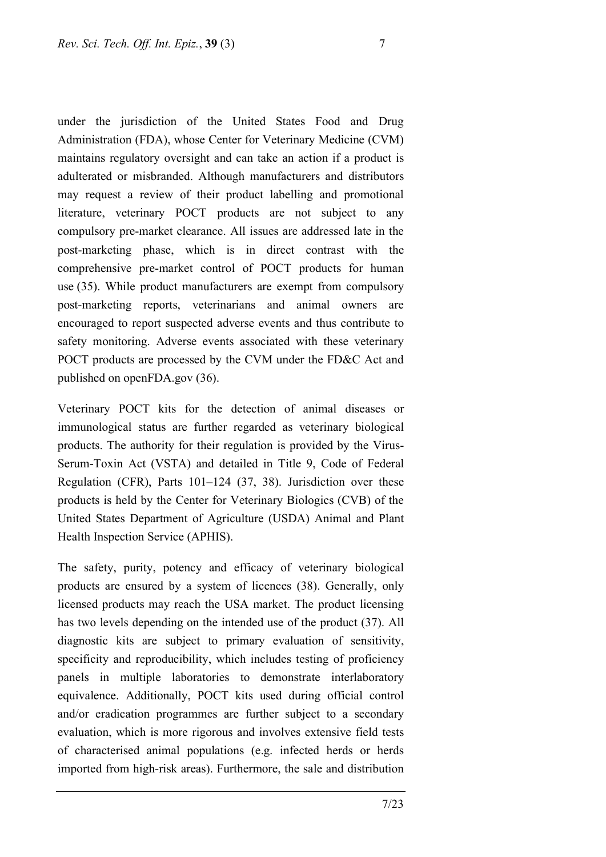under the jurisdiction of the United States Food and Drug Administration (FDA), whose Center for Veterinary Medicine (CVM) maintains regulatory oversight and can take an action if a product is adulterated or misbranded. Although manufacturers and distributors may request a review of their product labelling and promotional literature, veterinary POCT products are not subject to any compulsory pre-market clearance. All issues are addressed late in the post-marketing phase, which is in direct contrast with the comprehensive pre-market control of POCT products for human use (35). While product manufacturers are exempt from compulsory post-marketing reports, veterinarians and animal owners are encouraged to report suspected adverse events and thus contribute to safety monitoring. Adverse events associated with these veterinary POCT products are processed by the CVM under the FD&C Act and published on openFDA.gov (36).

Veterinary POCT kits for the detection of animal diseases or immunological status are further regarded as veterinary biological products. The authority for their regulation is provided by the Virus-Serum-Toxin Act (VSTA) and detailed in Title 9, Code of Federal Regulation (CFR), Parts 101–124 (37, 38). Jurisdiction over these products is held by the Center for Veterinary Biologics (CVB) of the United States Department of Agriculture (USDA) Animal and Plant Health Inspection Service (APHIS).

The safety, purity, potency and efficacy of veterinary biological products are ensured by a system of licences (38). Generally, only licensed products may reach the USA market. The product licensing has two levels depending on the intended use of the product (37). All diagnostic kits are subject to primary evaluation of sensitivity, specificity and reproducibility, which includes testing of proficiency panels in multiple laboratories to demonstrate interlaboratory equivalence. Additionally, POCT kits used during official control and/or eradication programmes are further subject to a secondary evaluation, which is more rigorous and involves extensive field tests of characterised animal populations (e.g. infected herds or herds imported from high-risk areas). Furthermore, the sale and distribution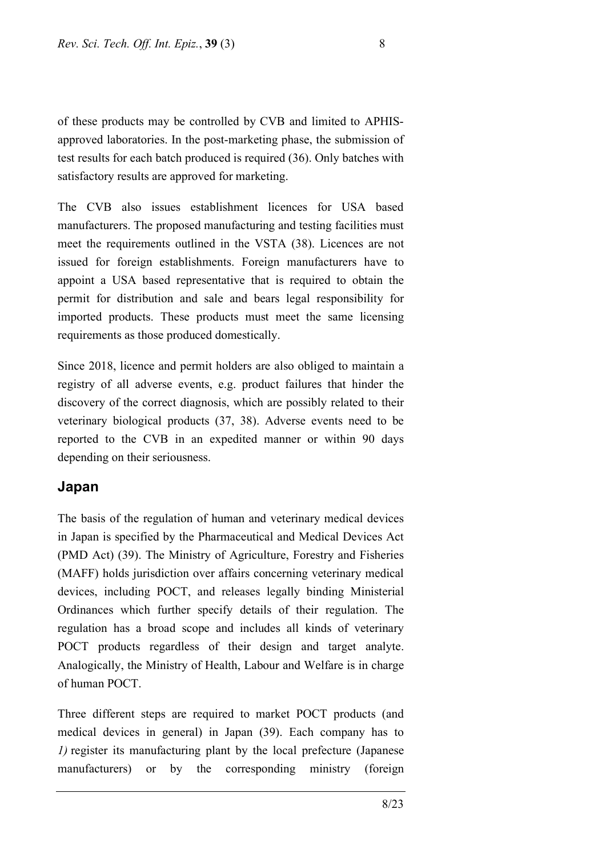of these products may be controlled by CVB and limited to APHISapproved laboratories. In the post-marketing phase, the submission of test results for each batch produced is required (36). Only batches with satisfactory results are approved for marketing.

The CVB also issues establishment licences for USA based manufacturers. The proposed manufacturing and testing facilities must meet the requirements outlined in the VSTA (38). Licences are not issued for foreign establishments. Foreign manufacturers have to appoint a USA based representative that is required to obtain the permit for distribution and sale and bears legal responsibility for imported products. These products must meet the same licensing requirements as those produced domestically.

Since 2018, licence and permit holders are also obliged to maintain a registry of all adverse events, e.g. product failures that hinder the discovery of the correct diagnosis, which are possibly related to their veterinary biological products (37, 38). Adverse events need to be reported to the CVB in an expedited manner or within 90 days depending on their seriousness.

### **Japan**

The basis of the regulation of human and veterinary medical devices in Japan is specified by the Pharmaceutical and Medical Devices Act (PMD Act) (39). The Ministry of Agriculture, Forestry and Fisheries (MAFF) holds jurisdiction over affairs concerning veterinary medical devices, including POCT, and releases legally binding Ministerial Ordinances which further specify details of their regulation. The regulation has a broad scope and includes all kinds of veterinary POCT products regardless of their design and target analyte. Analogically, the Ministry of Health, Labour and Welfare is in charge of human POCT.

Three different steps are required to market POCT products (and medical devices in general) in Japan (39). Each company has to *1)* register its manufacturing plant by the local prefecture (Japanese manufacturers) or by the corresponding ministry (foreign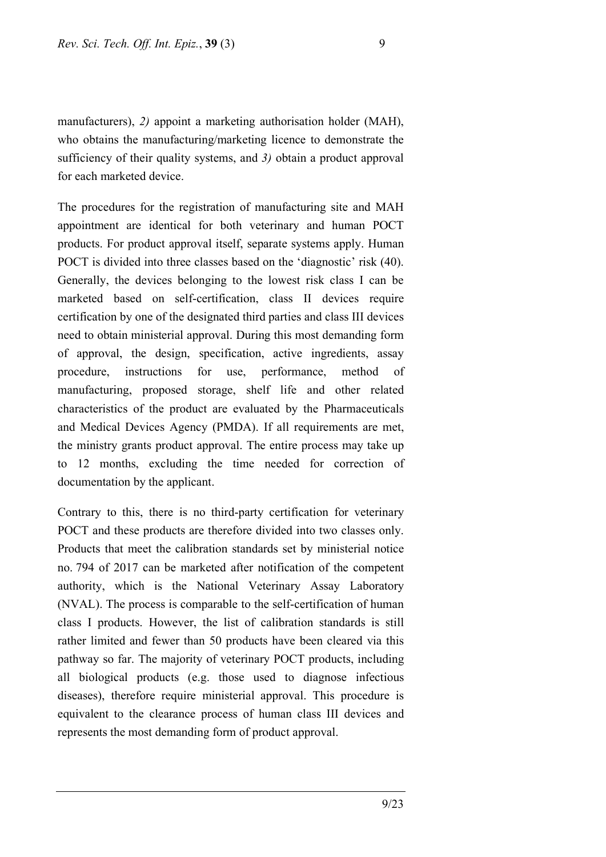manufacturers), *2)* appoint a marketing authorisation holder (MAH), who obtains the manufacturing/marketing licence to demonstrate the sufficiency of their quality systems, and *3)* obtain a product approval for each marketed device.

The procedures for the registration of manufacturing site and MAH appointment are identical for both veterinary and human POCT products. For product approval itself, separate systems apply. Human POCT is divided into three classes based on the 'diagnostic' risk (40). Generally, the devices belonging to the lowest risk class I can be marketed based on self-certification, class II devices require certification by one of the designated third parties and class III devices need to obtain ministerial approval. During this most demanding form of approval, the design, specification, active ingredients, assay procedure, instructions for use, performance, method of manufacturing, proposed storage, shelf life and other related characteristics of the product are evaluated by the Pharmaceuticals and Medical Devices Agency (PMDA). If all requirements are met, the ministry grants product approval. The entire process may take up to 12 months, excluding the time needed for correction of documentation by the applicant.

Contrary to this, there is no third-party certification for veterinary POCT and these products are therefore divided into two classes only. Products that meet the calibration standards set by ministerial notice no. 794 of 2017 can be marketed after notification of the competent authority, which is the National Veterinary Assay Laboratory (NVAL). The process is comparable to the self-certification of human class I products. However, the list of calibration standards is still rather limited and fewer than 50 products have been cleared via this pathway so far. The majority of veterinary POCT products, including all biological products (e.g. those used to diagnose infectious diseases), therefore require ministerial approval. This procedure is equivalent to the clearance process of human class III devices and represents the most demanding form of product approval.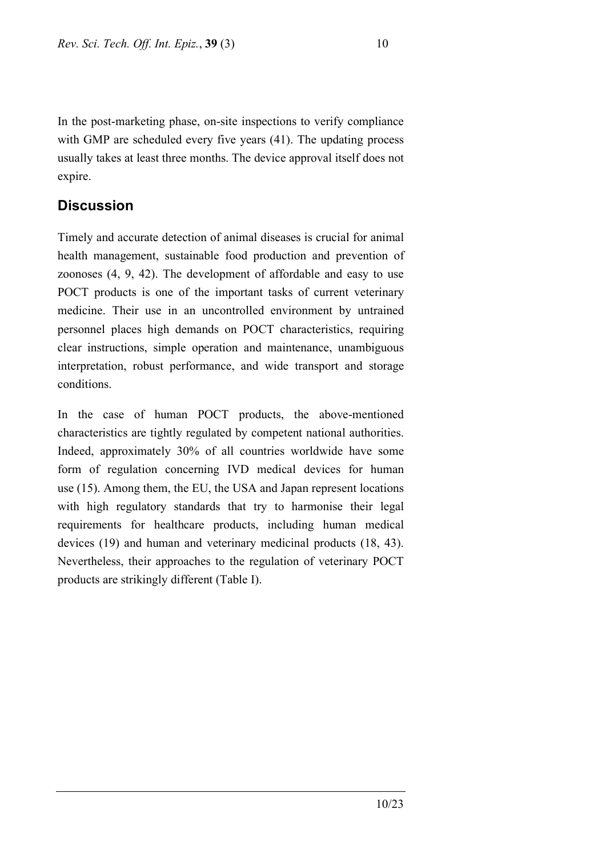In the post-marketing phase, on-site inspections to verify compliance with GMP are scheduled every five years (41). The updating process usually takes at least three months. The device approval itself does not expire.

## **Discussion**

Timely and accurate detection of animal diseases is crucial for animal health management, sustainable food production and prevention of zoonoses (4, 9, 42). The development of affordable and easy to use POCT products is one of the important tasks of current veterinary medicine. Their use in an uncontrolled environment by untrained personnel places high demands on POCT characteristics, requiring clear instructions, simple operation and maintenance, unambiguous interpretation, robust performance, and wide transport and storage conditions.

In the case of human POCT products, the above-mentioned characteristics are tightly regulated by competent national authorities. Indeed, approximately 30% of all countries worldwide have some form of regulation concerning IVD medical devices for human use (15). Among them, the EU, the USA and Japan represent locations with high regulatory standards that try to harmonise their legal requirements for healthcare products, including human medical devices (19) and human and veterinary medicinal products (18, 43). Nevertheless, their approaches to the regulation of veterinary POCT products are strikingly different (Table I).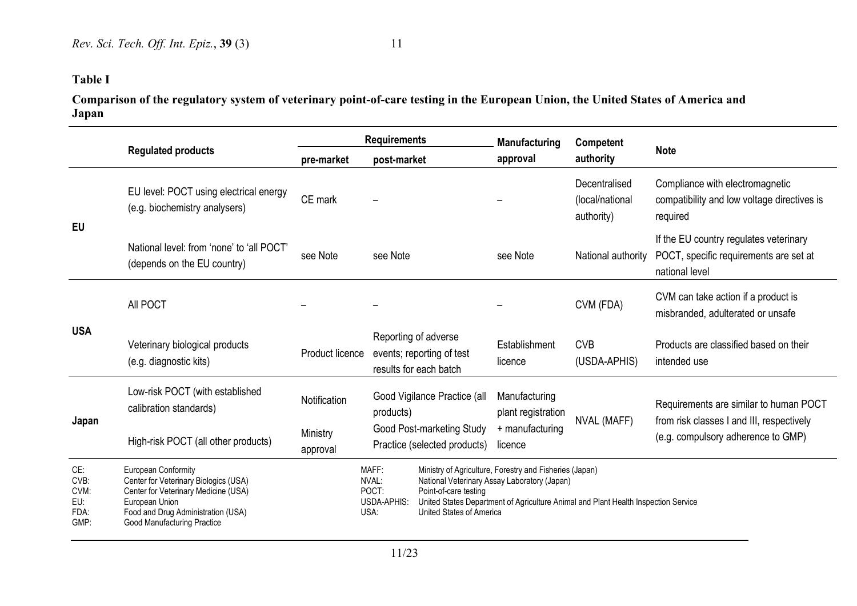## **Table I**

**Comparison of the regulatory system of veterinary point-of-care testing in the European Union, the United States of America and Japan**

|                                            |                                                                                                                                                                                                    | <b>Requirements</b>  |                                                                             |                                                                                                                                                                                                                                                    | <b>Manufacturing</b><br>Competent   |                                                |                                                                                                                           |
|--------------------------------------------|----------------------------------------------------------------------------------------------------------------------------------------------------------------------------------------------------|----------------------|-----------------------------------------------------------------------------|----------------------------------------------------------------------------------------------------------------------------------------------------------------------------------------------------------------------------------------------------|-------------------------------------|------------------------------------------------|---------------------------------------------------------------------------------------------------------------------------|
|                                            | <b>Regulated products</b>                                                                                                                                                                          | pre-market           | post-market                                                                 |                                                                                                                                                                                                                                                    | approval                            | authority                                      | <b>Note</b>                                                                                                               |
| <b>EU</b>                                  | EU level: POCT using electrical energy<br>(e.g. biochemistry analysers)                                                                                                                            | CE mark              |                                                                             |                                                                                                                                                                                                                                                    |                                     | Decentralised<br>(local/national<br>authority) | Compliance with electromagnetic<br>compatibility and low voltage directives is<br>required                                |
|                                            | National level: from 'none' to 'all POCT'<br>(depends on the EU country)                                                                                                                           | see Note             | see Note                                                                    |                                                                                                                                                                                                                                                    | see Note                            | National authority                             | If the EU country regulates veterinary<br>POCT, specific requirements are set at<br>national level                        |
| <b>USA</b>                                 | All POCT                                                                                                                                                                                           |                      |                                                                             |                                                                                                                                                                                                                                                    |                                     | CVM (FDA)                                      | CVM can take action if a product is<br>misbranded, adulterated or unsafe                                                  |
|                                            | Veterinary biological products<br>(e.g. diagnostic kits)                                                                                                                                           | Product licence      | Reporting of adverse<br>events; reporting of test<br>results for each batch |                                                                                                                                                                                                                                                    | Establishment<br>licence            | <b>CVB</b><br>(USDA-APHIS)                     | Products are classified based on their<br>intended use                                                                    |
| Japan                                      | Low-risk POCT (with established<br>calibration standards)                                                                                                                                          | Notification         | Good Vigilance Practice (all<br>products)                                   |                                                                                                                                                                                                                                                    | Manufacturing<br>plant registration | NVAL (MAFF)                                    | Requirements are similar to human POCT<br>from risk classes I and III, respectively<br>(e.g. compulsory adherence to GMP) |
|                                            | High-risk POCT (all other products)                                                                                                                                                                | Ministry<br>approval |                                                                             | Good Post-marketing Study<br>Practice (selected products)                                                                                                                                                                                          | + manufacturing<br>licence          |                                                |                                                                                                                           |
| CE:<br>CVB:<br>CVM:<br>EU:<br>FDA:<br>GMP: | European Conformity<br>Center for Veterinary Biologics (USA)<br>Center for Veterinary Medicine (USA)<br>European Union<br>Food and Drug Administration (USA)<br><b>Good Manufacturing Practice</b> |                      | MAFF:<br>NVAL:<br>POCT:<br>USDA-APHIS:<br>USA:                              | Ministry of Agriculture, Forestry and Fisheries (Japan)<br>National Veterinary Assay Laboratory (Japan)<br>Point-of-care testing<br>United States Department of Agriculture Animal and Plant Health Inspection Service<br>United States of America |                                     |                                                |                                                                                                                           |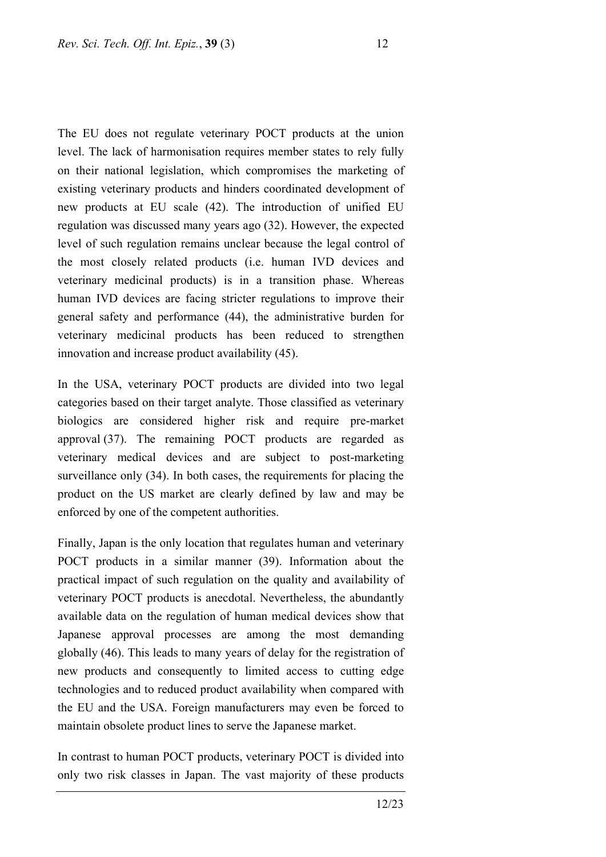The EU does not regulate veterinary POCT products at the union level. The lack of harmonisation requires member states to rely fully on their national legislation, which compromises the marketing of existing veterinary products and hinders coordinated development of new products at EU scale (42). The introduction of unified EU regulation was discussed many years ago (32). However, the expected level of such regulation remains unclear because the legal control of the most closely related products (i.e. human IVD devices and veterinary medicinal products) is in a transition phase. Whereas human IVD devices are facing stricter regulations to improve their general safety and performance (44), the administrative burden for veterinary medicinal products has been reduced to strengthen innovation and increase product availability (45).

In the USA, veterinary POCT products are divided into two legal categories based on their target analyte. Those classified as veterinary biologics are considered higher risk and require pre-market approval (37). The remaining POCT products are regarded as veterinary medical devices and are subject to post-marketing surveillance only (34). In both cases, the requirements for placing the product on the US market are clearly defined by law and may be enforced by one of the competent authorities.

Finally, Japan is the only location that regulates human and veterinary POCT products in a similar manner (39). Information about the practical impact of such regulation on the quality and availability of veterinary POCT products is anecdotal. Nevertheless, the abundantly available data on the regulation of human medical devices show that Japanese approval processes are among the most demanding globally (46). This leads to many years of delay for the registration of new products and consequently to limited access to cutting edge technologies and to reduced product availability when compared with the EU and the USA. Foreign manufacturers may even be forced to maintain obsolete product lines to serve the Japanese market.

In contrast to human POCT products, veterinary POCT is divided into only two risk classes in Japan. The vast majority of these products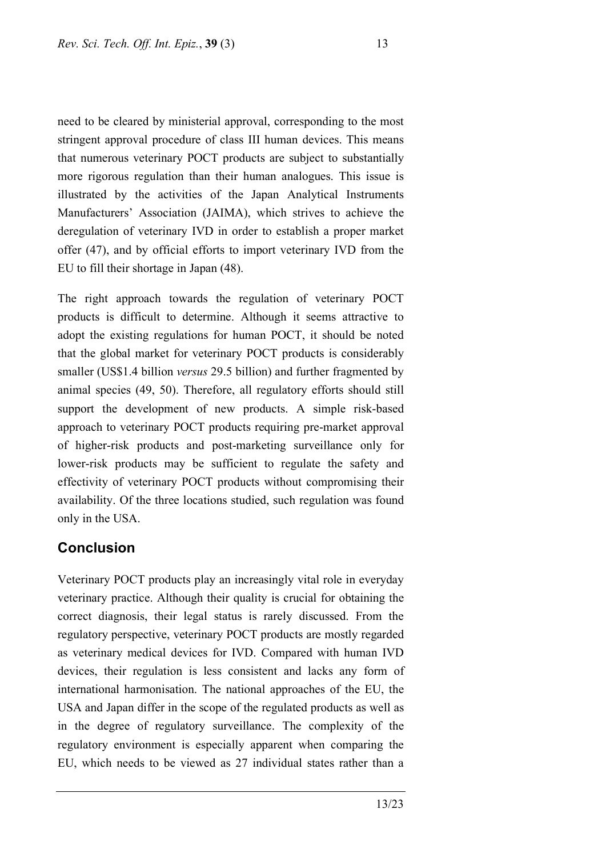need to be cleared by ministerial approval, corresponding to the most stringent approval procedure of class III human devices. This means that numerous veterinary POCT products are subject to substantially more rigorous regulation than their human analogues. This issue is illustrated by the activities of the Japan Analytical Instruments Manufacturers' Association (JAIMA), which strives to achieve the deregulation of veterinary IVD in order to establish a proper market offer (47), and by official efforts to import veterinary IVD from the EU to fill their shortage in Japan (48).

The right approach towards the regulation of veterinary POCT products is difficult to determine. Although it seems attractive to adopt the existing regulations for human POCT, it should be noted that the global market for veterinary POCT products is considerably smaller (US\$1.4 billion *versus* 29.5 billion) and further fragmented by animal species (49, 50). Therefore, all regulatory efforts should still support the development of new products. A simple risk-based approach to veterinary POCT products requiring pre-market approval of higher-risk products and post-marketing surveillance only for lower-risk products may be sufficient to regulate the safety and effectivity of veterinary POCT products without compromising their availability. Of the three locations studied, such regulation was found only in the USA.

### **Conclusion**

Veterinary POCT products play an increasingly vital role in everyday veterinary practice. Although their quality is crucial for obtaining the correct diagnosis, their legal status is rarely discussed. From the regulatory perspective, veterinary POCT products are mostly regarded as veterinary medical devices for IVD. Compared with human IVD devices, their regulation is less consistent and lacks any form of international harmonisation. The national approaches of the EU, the USA and Japan differ in the scope of the regulated products as well as in the degree of regulatory surveillance. The complexity of the regulatory environment is especially apparent when comparing the EU, which needs to be viewed as 27 individual states rather than a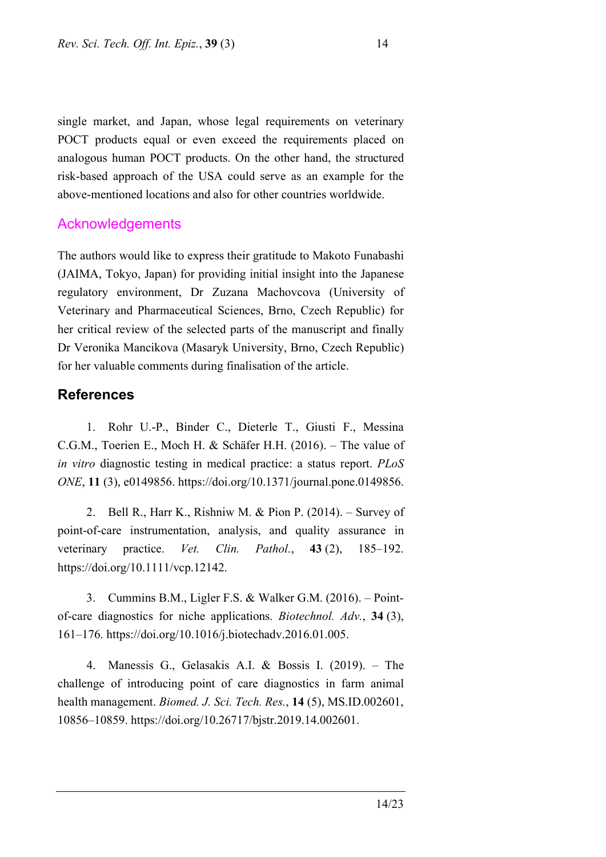single market, and Japan, whose legal requirements on veterinary POCT products equal or even exceed the requirements placed on analogous human POCT products. On the other hand, the structured risk-based approach of the USA could serve as an example for the above-mentioned locations and also for other countries worldwide.

#### Acknowledgements

The authors would like to express their gratitude to Makoto Funabashi (JAIMA, Tokyo, Japan) for providing initial insight into the Japanese regulatory environment, Dr Zuzana Machovcova (University of Veterinary and Pharmaceutical Sciences, Brno, Czech Republic) for her critical review of the selected parts of the manuscript and finally Dr Veronika Mancikova (Masaryk University, Brno, Czech Republic) for her valuable comments during finalisation of the article.

### **References**

1. Rohr U.-P., Binder C., Dieterle T., Giusti F., Messina C.G.M., Toerien E., Moch H. & Schäfer H.H. (2016). – The value of *in vitro* diagnostic testing in medical practice: a status report. *PLoS ONE*, **11** (3), e0149856. https://doi.org/10.1371/journal.pone.0149856.

2. Bell R., Harr K., Rishniw M. & Pion P. (2014). – Survey of point-of-care instrumentation, analysis, and quality assurance in veterinary practice. *Vet. Clin. Pathol.*, **43** (2), 185–192. https://doi.org/10.1111/vcp.12142.

3. Cummins B.M., Ligler F.S. & Walker G.M. (2016). – Pointof-care diagnostics for niche applications. *Biotechnol. Adv.*, **34** (3), 161–176. https://doi.org/10.1016/j.biotechadv.2016.01.005.

4. Manessis G., Gelasakis A.I. & Bossis I. (2019). – The challenge of introducing point of care diagnostics in farm animal health management. *Biomed. J. Sci. Tech. Res.*, **14** (5), MS.ID.002601, 10856–10859. <https://doi.org/10.26717/bjstr.2019.14.002601>.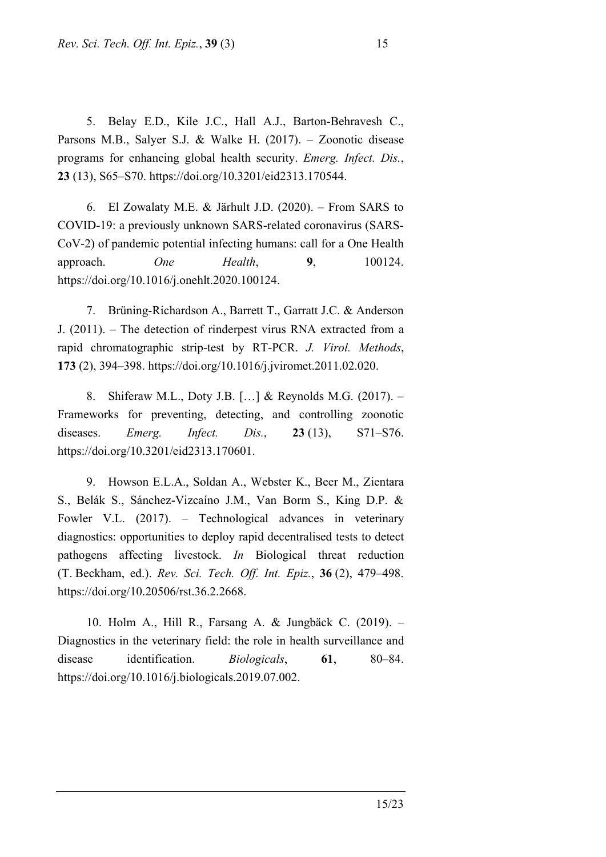5. Belay E.D., Kile J.C., Hall A.J., Barton-Behravesh C., Parsons M.B., Salyer S.J. & Walke H. (2017). – Zoonotic disease programs for enhancing global health security. *Emerg. Infect. Dis.*, **23** (13), S65–S70. https://doi.org/10.3201/eid2313.170544.

6. El Zowalaty M.E. & Järhult J.D. (2020). – From SARS to COVID-19: a previously unknown SARS-related coronavirus (SARS-CoV-2) of pandemic potential infecting humans: call for a One Health approach. *One Health*, **9**, 100124. https://doi.org/10.1016/j.onehlt.2020.100124.

7. Brüning-Richardson A., Barrett T., Garratt J.C. & Anderson J. (2011). – The detection of rinderpest virus RNA extracted from a rapid chromatographic strip-test by RT-PCR. *J. Virol. Methods*, **173** (2), 394–398. https://doi.org/10.1016/j.jviromet.2011.02.020.

8. Shiferaw M.L., Doty J.B. […] & Reynolds M.G. (2017). – Frameworks for preventing, detecting, and controlling zoonotic diseases. *Emerg. Infect. Dis.*, **23** (13), S71–S76. https://doi.org/10.3201/eid2313.170601.

9. Howson E.L.A., Soldan A., Webster K., Beer M., Zientara S., Belák S., Sánchez-Vizcaíno J.M., Van Borm S., King D.P. & Fowler V.L. (2017). – Technological advances in veterinary diagnostics: opportunities to deploy rapid decentralised tests to detect pathogens affecting livestock. *In* Biological threat reduction (T. Beckham, ed.). *Rev. Sci. Tech. Off. Int. Epiz.*, **36** (2), 479–498. https://doi.org/10.20506/rst.36.2.2668.

10. Holm A., Hill R., Farsang A. & Jungbäck C. (2019). – Diagnostics in the veterinary field: the role in health surveillance and disease identification. *Biologicals*, **61**, 80–84. <https://doi.org/10.1016/j.biologicals.2019.07.002>.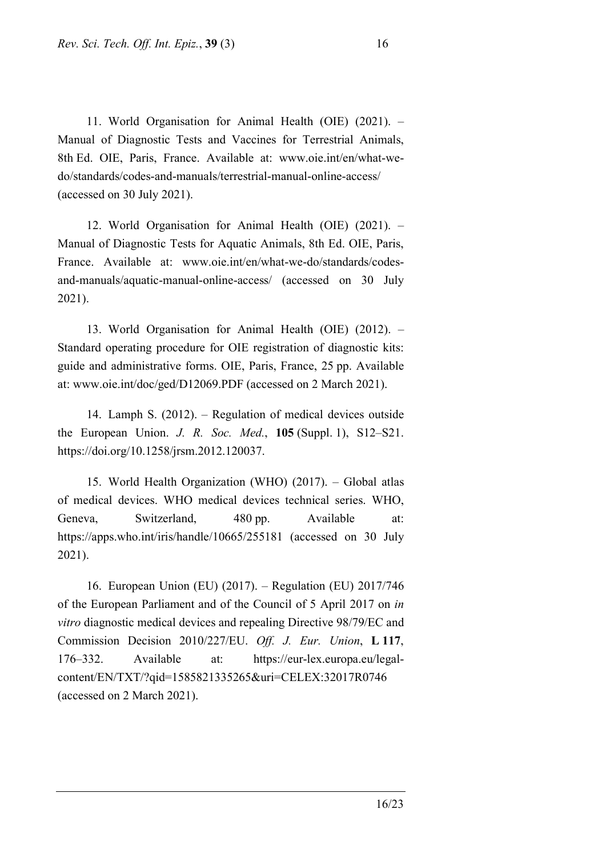11. World Organisation for Animal Health (OIE) (2021). – Manual of Diagnostic Tests and Vaccines for Terrestrial Animals, 8th Ed. OIE, Paris, France. Available at: www.oie.int/en/what-wedo/standards/codes-and-manuals/terrestrial-manual-online-access/ (accessed on 30 July 2021).

12. World Organisation for Animal Health (OIE) (2021). – Manual of Diagnostic Tests for Aquatic Animals, 8th Ed. OIE, Paris, France. Available at: www.oie.int/en/what-we-do/standards/codesand-manuals/aquatic-manual-online-access/ (accessed on 30 July 2021).

13. World Organisation for Animal Health (OIE) (2012). – Standard operating procedure for OIE registration of diagnostic kits: guide and administrative forms. OIE, Paris, France, 25 pp. Available at: www.oie.int/doc/ged/D12069.PDF (accessed on 2 March 2021).

14. Lamph S. (2012). – Regulation of medical devices outside the European Union. *J. R. Soc. Med.*, **105** (Suppl. 1), S12–S21. https://doi.org/10.1258/jrsm.2012.120037.

15. World Health Organization (WHO) (2017). – Global atlas of medical devices. WHO medical devices technical series. WHO, Geneva, Switzerland, 480 pp. Available at: https://apps.who.int/iris/handle/10665/255181 (accessed on 30 July 2021).

16. European Union (EU) (2017). – Regulation (EU) 2017/746 of the European Parliament and of the Council of 5 April 2017 on *in vitro* diagnostic medical devices and repealing Directive 98/79/EC and Commission Decision 2010/227/EU. *Off. J. Eur. Union*, **L 117**, 176–332. Available at: https://eur-lex.europa.eu/legalcontent/EN/TXT/?qid=1585821335265&uri=CELEX:32017R0746 (accessed on 2 March 2021).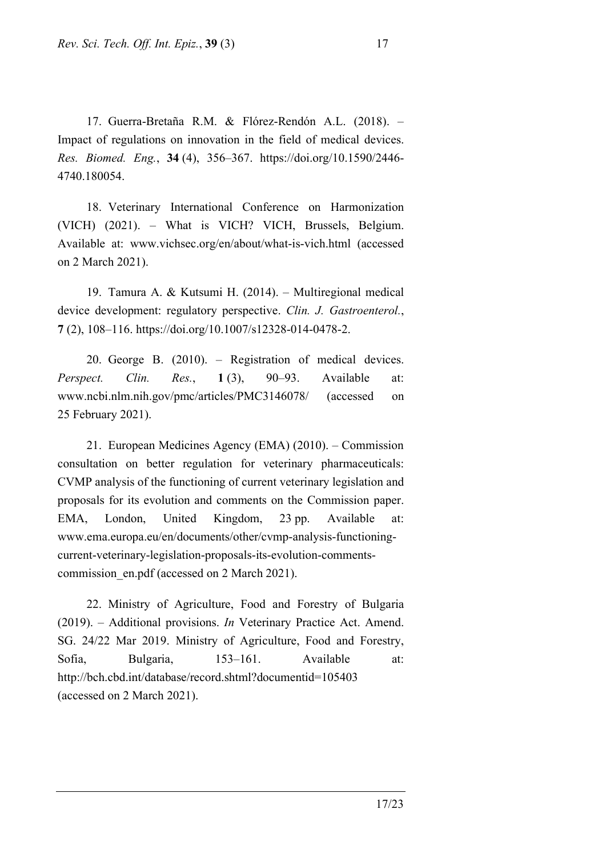17. Guerra-Bretaña R.M. & Flórez-Rendón A.L. (2018). – Impact of regulations on innovation in the field of medical devices. *Res. Biomed. Eng.*, **34** (4), 356–367. https://doi.org/10.1590/2446- 4740.180054.

18. Veterinary International Conference on Harmonization (VICH) (2021). – What is VICH? VICH, Brussels, Belgium. Available at: www.vichsec.org/en/about/what-is-vich.html (accessed on 2 March 2021).

19. Tamura A. & Kutsumi H. (2014). – Multiregional medical device development: regulatory perspective. *Clin. J. Gastroenterol.*, **7** (2), 108–116. https://doi.org/10.1007/s12328-014-0478-2.

20. George B. (2010). – Registration of medical devices. *Perspect. Clin. Res.*, **1** (3), 90–93. Available at: www.ncbi.nlm.nih.gov/pmc/articles/PMC3146078/ (accessed on 25 February 2021).

21. European Medicines Agency (EMA) (2010). – Commission consultation on better regulation for veterinary pharmaceuticals: CVMP analysis of the functioning of current veterinary legislation and proposals for its evolution and comments on the Commission paper. EMA, London, United Kingdom, 23 pp. Available at: www.ema.europa.eu/en/documents/other/cvmp-analysis-functioningcurrent-veterinary-legislation-proposals-its-evolution-commentscommission en.pdf (accessed on 2 March 2021).

22. Ministry of Agriculture, Food and Forestry of Bulgaria (2019). – Additional provisions. *In* Veterinary Practice Act. Amend. SG. 24/22 Mar 2019. Ministry of Agriculture, Food and Forestry, Sofia, Bulgaria, 153–161. Available at: http://bch.cbd.int/database/record.shtml?documentid=105403 (accessed on 2 March 2021).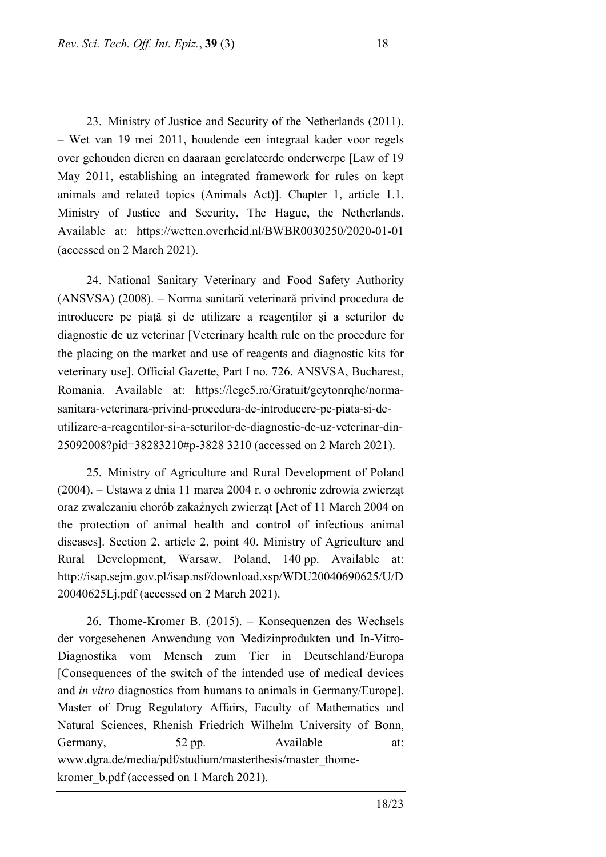23. Ministry of Justice and Security of the Netherlands (2011). – Wet van 19 mei 2011, houdende een integraal kader voor regels over gehouden dieren en daaraan gerelateerde onderwerpe [Law of 19 May 2011, establishing an integrated framework for rules on kept animals and related topics (Animals Act)]. Chapter 1, article 1.1. Ministry of Justice and Security, The Hague, the Netherlands. Available at: https://wetten.overheid.nl/BWBR0030250/2020-01-01 (accessed on 2 March 2021).

24. National Sanitary Veterinary and Food Safety Authority (ANSVSA) (2008). – Norma sanitară veterinară privind procedura de introducere pe piață și de utilizare a reagenților și a seturilor de diagnostic de uz veterinar [Veterinary health rule on the procedure for the placing on the market and use of reagents and diagnostic kits for veterinary use]. Official Gazette, Part I no. 726. ANSVSA, Bucharest, Romania. Available at: https://lege5.ro/Gratuit/geytonrqhe/normasanitara-veterinara-privind-procedura-de-introducere-pe-piata-si-deutilizare-a-reagentilor-si-a-seturilor-de-diagnostic-de-uz-veterinar-din-25092008?pid=38283210#p-3828 3210 (accessed on 2 March 2021).

25. Ministry of Agriculture and Rural Development of Poland (2004). – Ustawa z dnia 11 marca 2004 r. o ochronie zdrowia zwierząt oraz zwalczaniu chorób zakaźnych zwierząt [Act of 11 March 2004 on the protection of animal health and control of infectious animal diseases]. Section 2, article 2, point 40. Ministry of Agriculture and Rural Development, Warsaw, Poland, 140 pp. Available at: http://isap.sejm.gov.pl/isap.nsf/download.xsp/WDU20040690625/U/D 20040625Lj.pdf (accessed on 2 March 2021).

26. Thome-Kromer B. (2015). – Konsequenzen des Wechsels der vorgesehenen Anwendung von Medizinprodukten und In-Vitro-Diagnostika vom Mensch zum Tier in Deutschland/Europa [Consequences of the switch of the intended use of medical devices and *in vitro* diagnostics from humans to animals in Germany/Europe]. Master of Drug Regulatory Affairs, Faculty of Mathematics and Natural Sciences, Rhenish Friedrich Wilhelm University of Bonn, Germany, 52 pp. Available at: www.dgra.de/media/pdf/studium/masterthesis/master\_thomekromer b.pdf (accessed on 1 March 2021).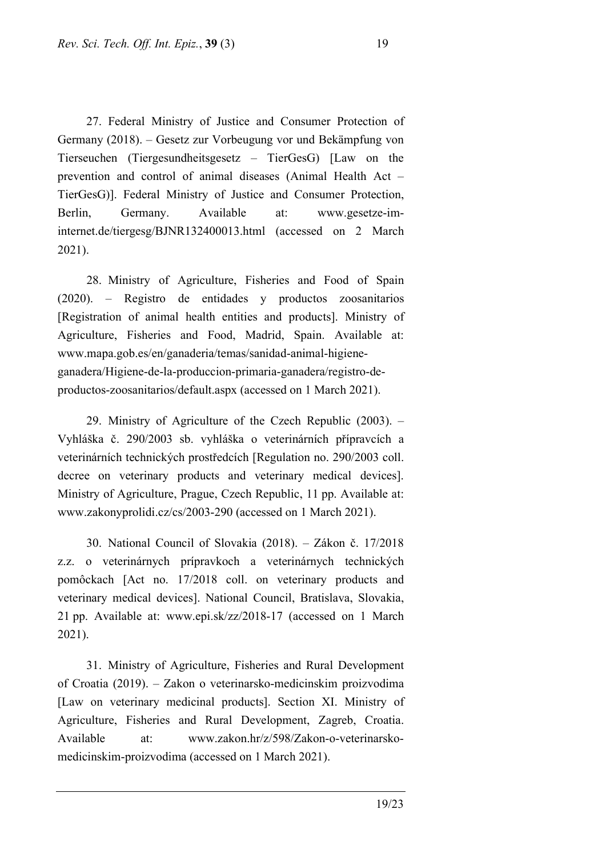27. Federal Ministry of Justice and Consumer Protection of Germany (2018). – Gesetz zur Vorbeugung vor und Bekämpfung von Tierseuchen (Tiergesundheitsgesetz – TierGesG) [Law on the prevention and control of animal diseases (Animal Health Act – TierGesG)]. Federal Ministry of Justice and Consumer Protection, Berlin, Germany. Available at: www.gesetze-iminternet.de/tiergesg/BJNR132400013.html (accessed on 2 March 2021).

28. Ministry of Agriculture, Fisheries and Food of Spain (2020). – Registro de entidades y productos zoosanitarios [Registration of animal health entities and products]. Ministry of Agriculture, Fisheries and Food, Madrid, Spain. Available at: www.mapa.gob.es/en/ganaderia/temas/sanidad-animal-higieneganadera/Higiene-de-la-produccion-primaria-ganadera/registro-deproductos-zoosanitarios/default.aspx (accessed on 1 March 2021).

29. Ministry of Agriculture of the Czech Republic (2003). – Vyhláška č. 290/2003 sb. vyhláška o veterinárních přípravcích a veterinárních technických prostředcích [Regulation no. 290/2003 coll. decree on veterinary products and veterinary medical devices]. Ministry of Agriculture, Prague, Czech Republic, 11 pp. Available at: www.zakonyprolidi.cz/cs/2003-290 (accessed on 1 March 2021).

30. National Council of Slovakia (2018). – Zákon č. 17/2018 z.z. o veterinárnych prípravkoch a veterinárnych technických pomôckach [Act no. 17/2018 coll. on veterinary products and veterinary medical devices]. National Council, Bratislava, Slovakia, 21 pp. Available at: www.epi.sk/zz/2018-17 (accessed on 1 March 2021).

31. Ministry of Agriculture, Fisheries and Rural Development of Croatia (2019). – Zakon o veterinarsko-medicinskim proizvodima [Law on veterinary medicinal products]. Section XI. Ministry of Agriculture, Fisheries and Rural Development, Zagreb, Croatia. Available at: www.zakon.hr/z/598/Zakon-o-veterinarskomedicinskim-proizvodima (accessed on 1 March 2021).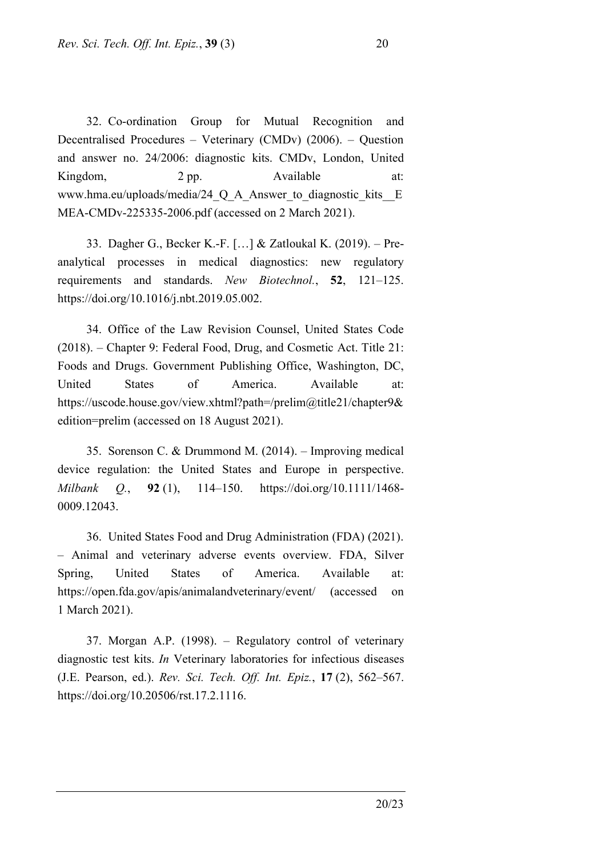32. Co-ordination Group for Mutual Recognition and Decentralised Procedures – Veterinary (CMDv) (2006). – Question and answer no. 24/2006: diagnostic kits. CMDv, London, United Kingdom, 2 pp. Available at: www.hma.eu/uploads/media/24\_Q\_A\_Answer\_to\_diagnostic\_kits\_E MEA-CMDv-225335-2006.pdf (accessed on 2 March 2021).

33. Dagher G., Becker K.-F. […] & Zatloukal K. (2019). – Preanalytical processes in medical diagnostics: new regulatory requirements and standards. *New Biotechnol.*, **52**, 121–125. https://doi.org/10.1016/j.nbt.2019.05.002.

34. Office of the Law Revision Counsel, United States Code (2018). – Chapter 9: Federal Food, Drug, and Cosmetic Act. Title 21: Foods and Drugs. Government Publishing Office, Washington, DC, United States of America. Available at: https://uscode.house.gov/view.xhtml?path=/prelim@title21/chapter9& edition=prelim (accessed on 18 August 2021).

35. Sorenson C. & Drummond M. (2014). – Improving medical device regulation: the United States and Europe in perspective. *Milbank Q.*, **92** (1), 114–150. https://doi.org/10.1111/1468- 0009.12043.

36. United States Food and Drug Administration (FDA) (2021). – Animal and veterinary adverse events overview. FDA, Silver Spring, United States of America. Available at: https://open.fda.gov/apis/animalandveterinary/event/ (accessed on 1 March 2021).

37. Morgan A.P. (1998). – Regulatory control of veterinary diagnostic test kits. *In* Veterinary laboratories for infectious diseases (J.E. Pearson, ed.). *Rev. Sci. Tech. Off. Int. Epiz.*, **17** (2), 562–567. https://doi.org/[10.20506/rst.17.2.1116.](https://doi.org/10.20506/rst.17.2.1116)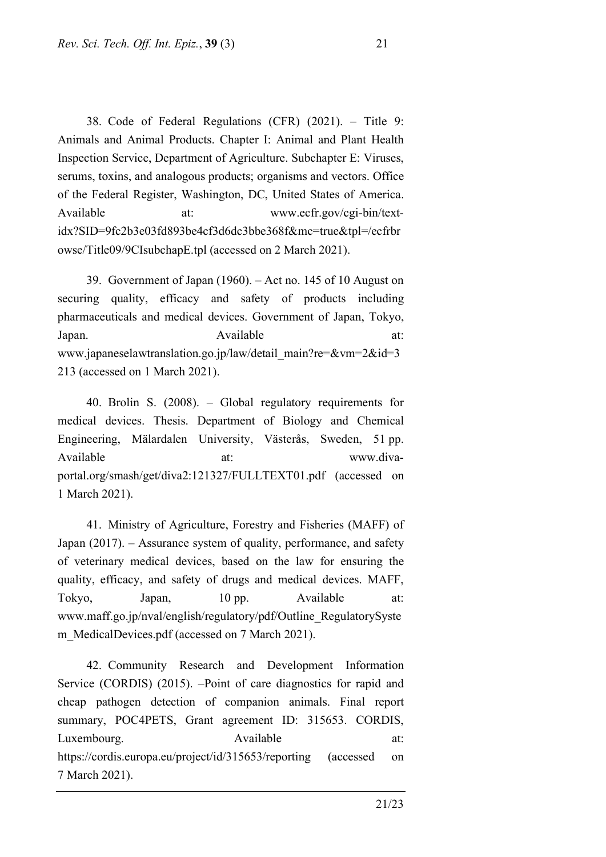38. Code of Federal Regulations (CFR) (2021). – Title 9: Animals and Animal Products. Chapter I: Animal and Plant Health Inspection Service, Department of Agriculture. Subchapter E: Viruses, serums, toxins, and analogous products; organisms and vectors. Office of the Federal Register, Washington, DC, United States of America. Available at: www.ecfr.gov/cgi-bin/textidx?SID=9fc2b3e03fd893be4cf3d6dc3bbe368f&mc=true&tpl=/ecfrbr owse/Title09/9CIsubchapE.tpl (accessed on 2 March 2021).

39. Government of Japan (1960). – Act no. 145 of 10 August on securing quality, efficacy and safety of products including pharmaceuticals and medical devices. Government of Japan, Tokyo, Japan. Available at: www.japaneselawtranslation.go.jp/law/detail\_main?re=&vm=2&id=3 213 (accessed on 1 March 2021).

40. Brolin S. (2008). – Global regulatory requirements for medical devices. Thesis. Department of Biology and Chemical Engineering, Mälardalen University, Västerås, Sweden, 51 pp. Available at:  $\alpha$  at: www.divaportal.org/smash/get/diva2:121327/FULLTEXT01.pdf (accessed on 1 March 2021).

41. Ministry of Agriculture, Forestry and Fisheries (MAFF) of Japan (2017). – Assurance system of quality, performance, and safety of veterinary medical devices, based on the law for ensuring the quality, efficacy, and safety of drugs and medical devices. MAFF, Tokyo, Japan, 10 pp. Available at: www.maff.go.jp/nval/english/regulatory/pdf/Outline\_RegulatorySyste m MedicalDevices.pdf (accessed on 7 March 2021).

42. Community Research and Development Information Service (CORDIS) (2015). –Point of care diagnostics for rapid and cheap pathogen detection of companion animals. Final report summary, POC4PETS, Grant agreement ID: 315653. CORDIS, Luxembourg. Available at: https://cordis.europa.eu/project/id/315653/reporting (accessed on 7 March 2021).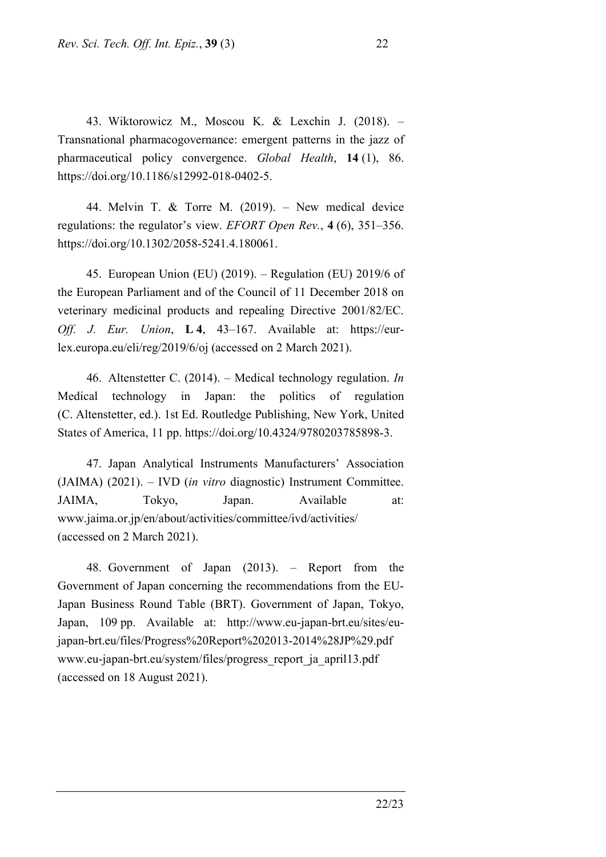43. Wiktorowicz M., Moscou K. & Lexchin J. (2018). – Transnational pharmacogovernance: emergent patterns in the jazz of pharmaceutical policy convergence. *Global Health*, **14** (1), 86. https://doi.org/10.1186/s12992-018-0402-5.

44. Melvin T. & Torre M. (2019). – New medical device regulations: the regulator's view. *EFORT Open Rev.*, **4** (6), 351–356. https://doi.org/10.1302/2058-5241.4.180061.

45. European Union (EU) (2019). – Regulation (EU) 2019/6 of the European Parliament and of the Council of 11 December 2018 on veterinary medicinal products and repealing Directive 2001/82/EC. *Off. J. Eur. Union*, **L 4**, 43–167. Available at: https://eurlex.europa.eu/eli/reg/2019/6/oj (accessed on 2 March 2021).

46. Altenstetter C. (2014). – Medical technology regulation. *In* Medical technology in Japan: the politics of regulation (C. Altenstetter, ed.). 1st Ed. Routledge Publishing, New York, United States of America, 11 pp. https://doi.org/10.4324/9780203785898-3.

47. Japan Analytical Instruments Manufacturers' Association (JAIMA) (2021). – IVD (*in vitro* diagnostic) Instrument Committee. JAIMA, Tokyo, Japan. Available at: www.jaima.or.jp/en/about/activities/committee/ivd/activities/ (accessed on 2 March 2021).

48. Government of Japan (2013). – Report from the Government of Japan concerning the recommendations from the EU-Japan Business Round Table (BRT). Government of Japan, Tokyo, Japan, 109 pp. Available at: http://www.eu-japan-brt.eu/sites/eujapan-brt.eu/files/Progress%20Report%202013-2014%28JP%29.pdf www.eu-japan-brt.eu/system/files/progress\_report\_ja\_april13.pdf (accessed on 18 August 2021).